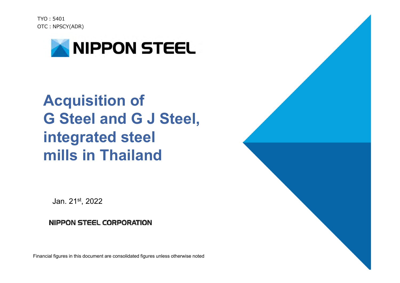$TYO \cdot 5401$ OTC: NPSCY(ADR)



# **Acquisition of G Steel and G J Steel, integrated steel mills in Thailand**

Jan. 21st, 2022

#### **NIPPON STEEL CORPORATION**

Financial figures in this document are consolidated figures unless otherwise noted

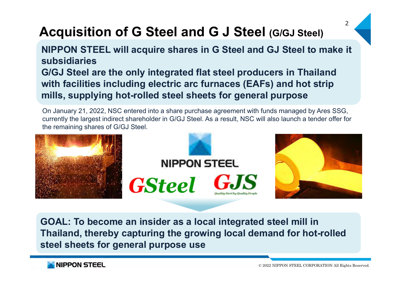### **Acquisition of G Steel and G J Steel (G/GJ Steel)**

**NIPPON STEEL will acquire shares in G Steel and GJ Steel to make it subsidiariesG/GJ Steel are the only integrated flat steel producers in Thailand with facilities including electric arc furnaces (EAFs) and hot strip mills, supplying hot-rolled steel sheets for general purpose**

On January 21, 2022, NSC entered into a share purchase agreement with funds managed by Ares SSG, currently the largest indirect shareholder in G/GJ Steel. As a result, NSC will also launch a tender offer for the remaining shares of G/GJ Steel.



**GOAL: To become an insider as a local integrated steel mill in Thailand, thereby capturing the growing local demand for hot-rolled steel sheets for general purpose use**



 $\overline{2}$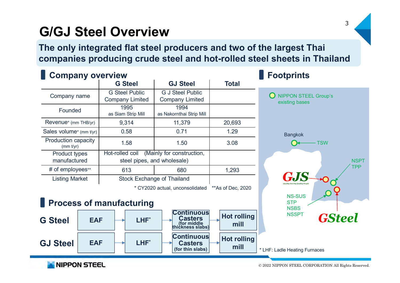### **G/GJ Steel Overview**

**The only integrated flat steel producers and two of the largest Thai companies producing crude steel and hot-rolled steel sheets in Thailand**

| <b>Company overview</b>              | <b>Footprints</b>                                                           |                                                   |                   |                                      |
|--------------------------------------|-----------------------------------------------------------------------------|---------------------------------------------------|-------------------|--------------------------------------|
|                                      | <b>G</b> Steel                                                              | <b>GJ Steel</b>                                   | <b>Total</b>      |                                      |
| Company name                         | <b>G Steel Public</b><br><b>Company Limited</b>                             | <b>G J Steel Public</b><br><b>Company Limited</b> |                   | <b>NIPPON STEE</b><br>existing bases |
| Founded                              | 1995<br>as Siam Strip Mill                                                  | 1994<br>as Nakornthai Strip Mill                  |                   |                                      |
| Revenue* (mm THB/yr)                 | 9,314                                                                       | 11,379                                            | 20,693            |                                      |
| Sales volume* (mm t/yr)              | 0.58                                                                        | 0.71                                              | 1.29              | <b>Bangkok</b>                       |
| Production capacity<br>(mm t/yr)     | 1.58                                                                        | 1.50                                              | 3.08              |                                      |
| <b>Product types</b><br>manufactured | (Mainly for construction,<br>Hot-rolled coil<br>steel pipes, and wholesale) |                                                   |                   |                                      |
| # of employees**                     | 613                                                                         | 680                                               | 1,293             |                                      |
| <b>Listing Market</b>                | <b>Stock Exchange of Thailand</b>                                           |                                                   |                   | lity Steel by Ouality People         |
|                                      |                                                                             | * CY2020 actual, unconsolidated                   | **As of Dec, 2020 |                                      |

**O** NIPPON STEEL Group's



**Process of manufacturing**



NIPPON STEEL

© 2022 NIPPON STEEL CORPORATION All Rights Reserved.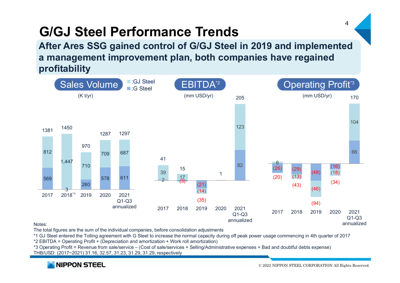### **G/GJ Steel Performance Trends**

**After Ares SSG gained control of G/GJ Steel in 2019 and implemented a management improvement plan, both companies have regained profitability**



Notes:

The total figures are the sum of the individual companies, before consolidation adjustments

\*1 GJ Steel entered the Tolling agreement with G Steel to increase the normal capacity during off peak power usage commencing in 4th quarter of 2017

\*2 EBITDA = Operating Profit + (Depreciation and amortization + Work roll amortization)

\*3 Operating Profit = Revenue from sale/service – (Cost of sale/services + Selling/Administrative expenses + Bad and doubtful debts expense) THB/USD: (2017~2021) 31.16, 32.57, 31.23, 31.29, 31.29, respectively

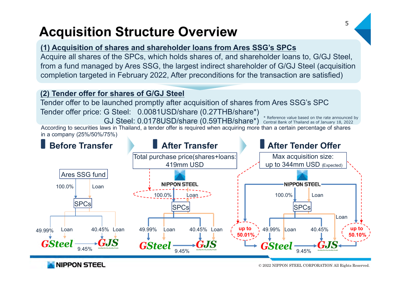### **Acquisition Structure Overview**

#### **(1) Acquisition of shares and shareholder loans from Ares SSG's SPCs**

Acquire all shares of the SPCs, which holds shares of, and shareholder loans to, G/GJ Steel, from a fund managed by Ares SSG, the largest indirect shareholder of G/GJ Steel (acquisition completion targeted in February 2022, After preconditions for the transaction are satisfied)

#### **(2) Tender offer for shares of G/GJ Steel**

Tender offer to be launched promptly after acquisition of shares from Ares SSG's SPC Tender offer price: G Steel: 0.0081USD/share (0.27THB/share\*)

According to securities laws in Thailand, a tender offer is required when acquiring more than a certain percentage of shares in a company (25%/50%/75%) GJ Steel: 0.0178USD/share (0.59THB/share\*) \* Reference value based on the rate announced by (BJ) Central Bank of Thailand as of January 18, 2022 Central Bank of Thailand as of January 18, 2022



**NIPPON STEEL**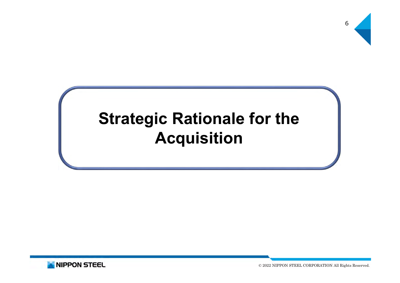

# **Strategic Rationale for the Acquisition**

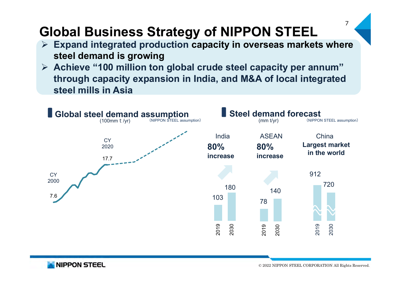### **Global Business Strategy of NIPPON STEEL**

- **Expand integrated production capacity in overseas markets where steel demand is growing**
- **Achieve "100 million ton global crude steel capacity per annum" through capacity expansion in India, and M&A of local integrated steel mills in Asia**



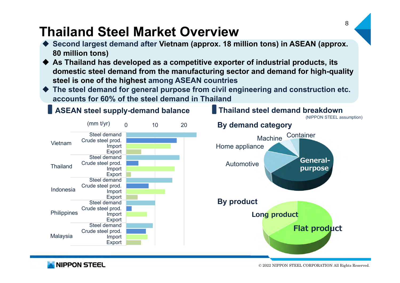### **Thailand Steel Market Overview**

- ♦ **Second largest demand after Vietnam (approx. 18 million tons) in ASEAN (approx. 80 million tons)**
- ♦ **As Thailand has developed as a competitive exporter of industrial products, its domestic steel demand from the manufacturing sector and demand for high-quality steel is one of the highest among ASEAN countries**
- ♦ **The steel demand for general purpose from civil engineering and construction etc. accounts for 60% of the steel demand in Thailand**



**NIPPON STEEL**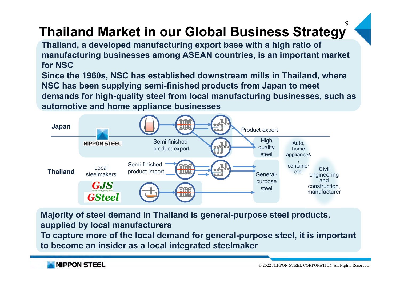#### 9**Thailand Market in our Global Business Strategy**

**Thailand, a developed manufacturing export base with a high ratio of manufacturing businesses among ASEAN countries, is an important market for NSC**

**Since the 1960s, NSC has established downstream mills in Thailand, where NSC has been supplying semi-finished products from Japan to meet demands for high-quality steel from local manufacturing businesses, such as automotive and home appliance businesses**



**Majority of steel demand in Thailand is general-purpose steel products, supplied by local manufacturers To capture more of the local demand for general-purpose steel, it is important to become an insider as a local integrated steelmaker**

**NIPPON STEEL**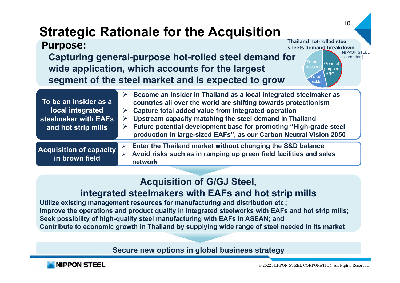### **Strategic Rationale for the Acquisition**

| <b>Purpose:</b>                                                                          | <b>Thailand hot-rolled steel</b><br>sheets demand breakdown<br>(NIPPON STEEL<br>Capturing general-purpose hot-rolled steel demand for<br>assumption)<br>To be<br><b>General-</b><br>wide application, which accounts for the largest<br>ocesseo<br>purpose<br><b>HRC</b><br>to be<br>segment of the steel market and is expected to grow<br>pickled                                                    |
|------------------------------------------------------------------------------------------|--------------------------------------------------------------------------------------------------------------------------------------------------------------------------------------------------------------------------------------------------------------------------------------------------------------------------------------------------------------------------------------------------------|
| To be an insider as a<br>local integrated<br>steelmaker with EAFs<br>and hot strip mills | Become an insider in Thailand as a local integrated steelmaker as<br>countries all over the world are shifting towards protectionism<br>Capture total added value from integrated operation<br>Upstream capacity matching the steel demand in Thailand<br>➤<br>Future potential development base for promoting "High-grade steel<br>production in large-sized EAFs", as our Carbon Neutral Vision 2050 |
| <b>Acquisition of capacity</b><br>in brown field                                         | Enter the Thailand market without changing the S&D balance<br>➤<br>Avoid risks such as in ramping up green field facilities and sales<br>network                                                                                                                                                                                                                                                       |

#### **Acquisition of G/GJ Steel,**

#### **integrated steelmakers with EAFs and hot strip mills**

**Utilize existing management resources for manufacturing and distribution etc.; Improve the operations and product quality in integrated steelworks with EAFs and hot strip mills; Seek possibility of high-quality steel manufacturing with EAFs in ASEAN; and Contribute to economic growth in Thailand by supplying wide range of steel needed in its market**

**Secure new options in global business strategy**

![](_page_9_Picture_6.jpeg)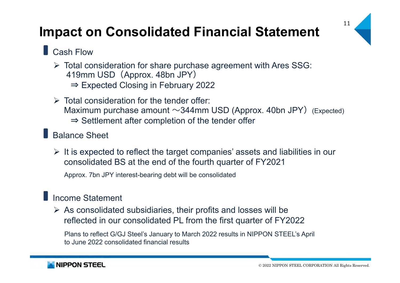### **Impact on Consolidated Financial Statement**

![](_page_10_Picture_1.jpeg)

### **Cash Flow**

- Total consideration for share purchase agreement with Ares SSG: 419mm USD(Approx. 48bn JPY) ⇒ Expected Closing in February 2022
- $\triangleright$  Total consideration for the tender offer: Maximum purchase amount  $\sim$ 344mm USD (Approx. 40bn JPY) (Expected) ⇒ Settlement after completion of the tender offer

#### Balance Sheet

 $\triangleright$  It is expected to reflect the target companies' assets and liabilities in our consolidated BS at the end of the fourth quarter of FY2021

Approx. 7bn JPY interest-bearing debt will be consolidated

#### **Income Statement**

 $\triangleright$  As consolidated subsidiaries, their profits and losses will be reflected in our consolidated PL from the first quarter of FY2022

Plans to reflect G/GJ Steel's January to March 2022 results in NIPPON STEEL's April to June 2022 consolidated financial results

![](_page_10_Picture_11.jpeg)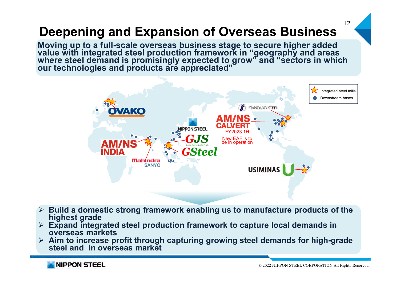## **Deepening and Expansion of Overseas Business**

Moving up to a full-scale overseas business stage to secure higher added value with integrated steel production framework in "geography and areas where steel demand is promisingly expected to grow" and "sectors in which ou

![](_page_11_Figure_2.jpeg)

- $\blacktriangleright$  **Build a domestic strong framework enabling us to manufacture products of the highest grade**
- **Expand integrated steel production framework to capture local demands in overseas markets**
- **Aim to increase profit through capturing growing steel demands for high-grade steel and in overseas market**

**NIPPON STEEL**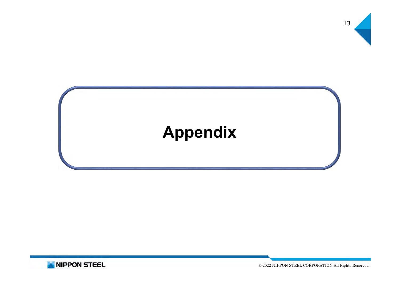![](_page_12_Figure_0.jpeg)

![](_page_12_Picture_1.jpeg)

![](_page_12_Picture_2.jpeg)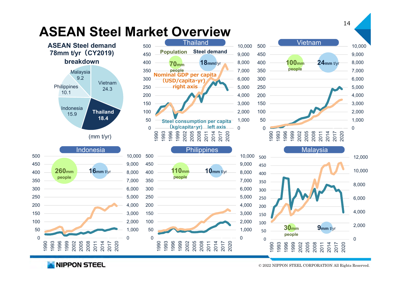![](_page_13_Figure_0.jpeg)

**NIPPON STEEL**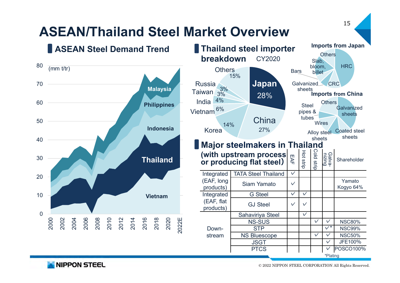![](_page_14_Figure_0.jpeg)

© 2022 NIPPON STEEL CORPORATION All Rights Reserved.

NIPPON STEEL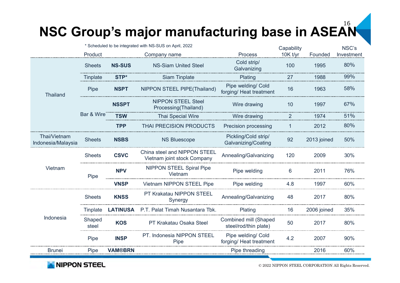#### 16**NSC Group's major manufacturing base in ASEAN**

|                                    | * Scheduled to be integrated with NS-SUS on April, 2022 |                 |                                                             | Capability                                            |          | NSC's       |            |
|------------------------------------|---------------------------------------------------------|-----------------|-------------------------------------------------------------|-------------------------------------------------------|----------|-------------|------------|
|                                    | Product                                                 |                 | Company name                                                | <b>Process</b>                                        | 10K t/yr | Founded     | Investment |
| Thailand                           | <b>Sheets</b>                                           | <b>NS-SUS</b>   | <b>NS-Siam United Steel</b>                                 | Cold strip/<br>Galvanizing                            | 100      | 1995        | 80%        |
|                                    | Tinplate                                                | STP*            | Siam Tinplate                                               | Plating                                               | 27       | 1988        | 99%        |
|                                    | Pipe                                                    | <b>NSPT</b>     | NIPPON STEEL PIPE(Thailand)                                 | Pipe welding/ Cold<br>forging/ Heat treatment         | 16       | 1963        | 58%        |
|                                    | Bar & Wire                                              | <b>NSSPT</b>    | <b>NIPPON STEEL Steel</b><br>Processing(Thailand)           | Wire drawing                                          | 10       | 1997        | 67%        |
|                                    |                                                         | TSW             | Thai Special Wire                                           | Wire drawing                                          | 2        | 1974        | 51%        |
|                                    |                                                         | <b>TPP</b>      | <b>THAI PRECISION PRODUCTS</b>                              | Precision processing                                  | 1        | 2012        | 80%        |
| Thai/Vietnam<br>Indonesia/Malaysia | <b>Sheets</b>                                           | <b>NSBS</b>     | <b>NS Bluescope</b>                                         | Pickling/Cold strip/<br>Galvanizing/Coating           | 92       | 2013 joined | 50%        |
| Vietnam                            | <b>Sheets</b>                                           | <b>CSVC</b>     | China steel and NIPPON STEEL<br>Vietnam joint stock Company | Annealing/Galvanizing                                 | 120      | 2009        | 30%        |
|                                    | Pipe                                                    | <b>NPV</b>      | <b>NIPPON STEEL Spiral Pipe</b><br>Vietnam                  | Pipe welding                                          | 6        | 2011        | 76%        |
|                                    |                                                         | <b>VNSP</b>     | <b>Vietnam NIPPON STEEL Pipe</b>                            | Pipe welding                                          | 4.8      | 1997        | 60%        |
| Indonesia                          | <b>Sheets</b>                                           | <b>KNSS</b>     | PT Krakatau NIPPON STEEL<br>Synergy                         | Annealing/Galvanizing                                 | 48       | 2017        | 80%        |
|                                    | <b>Tinplate</b>                                         | <b>LATINUSA</b> | P.T. Palat Timah Nusantara Tbk.                             | Plating                                               | 16       | 2006 joined | 35%        |
|                                    | Shaped<br>steel                                         | <b>KOS</b>      | PT Krakatau Osaka Steel                                     | <b>Combined mill (Shaped</b><br>steel/rod/thin plate) | 50       | 2017        | 80%        |
|                                    | Pipe                                                    | <b>INSP</b>     | PT. Indonesia NIPPON STEEL<br>Pipe                          | Pipe welding/ Cold<br>forging/ Heat treatment         | 4.2      | 2007        | 90%        |
| Bruneı                             | Pipe                                                    | VAM®BRN         |                                                             | Pipe threading                                        |          | 2016        | 60%        |
|                                    |                                                         |                 |                                                             |                                                       |          |             |            |

NIPPON STEEL